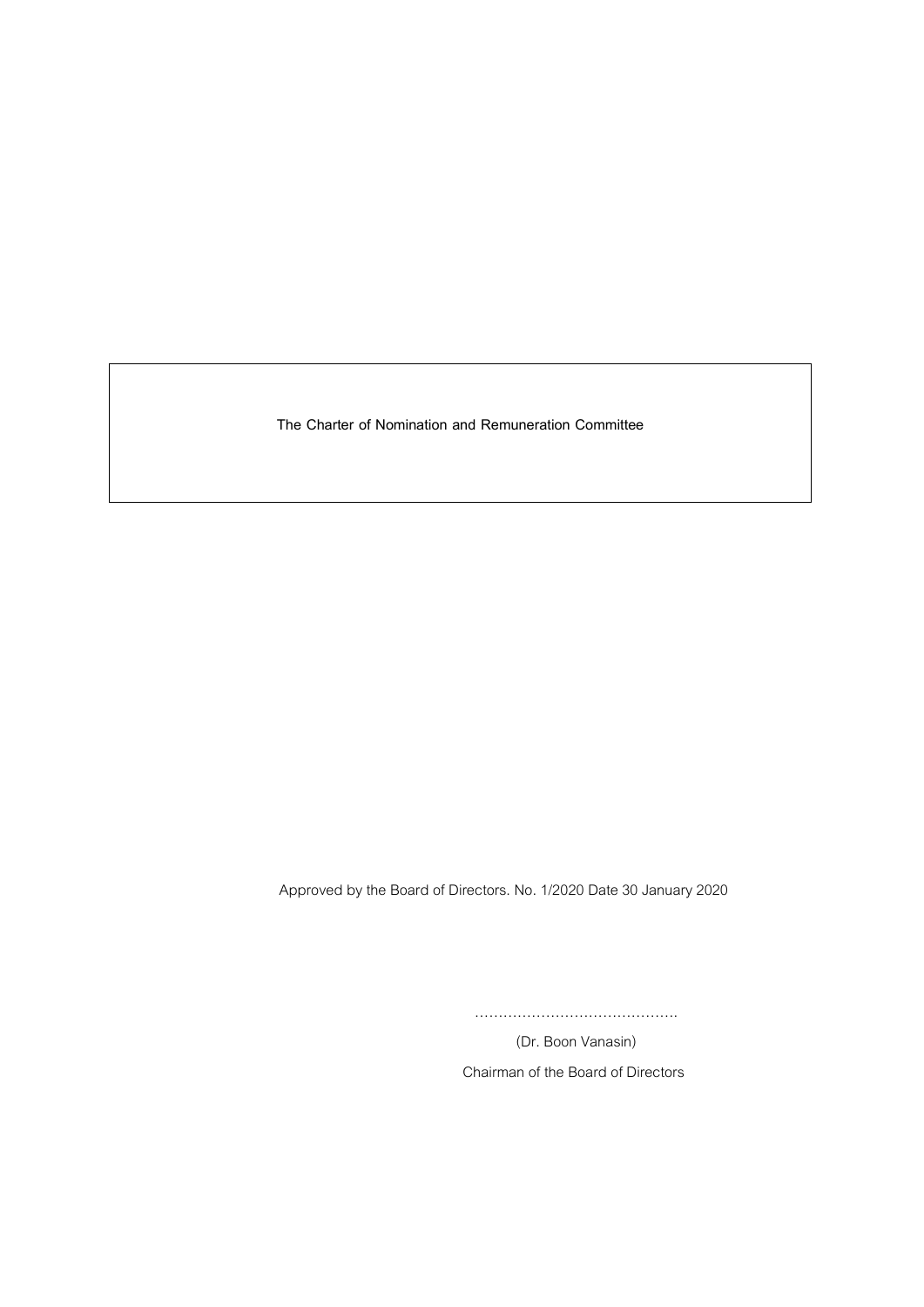**The Charter of Nomination and Remuneration Committee**

Approved by the Board of Directors. No. 1/2020 Date 30 January 2020

…………………………………….

(Dr. Boon Vanasin) Chairman of the Board of Directors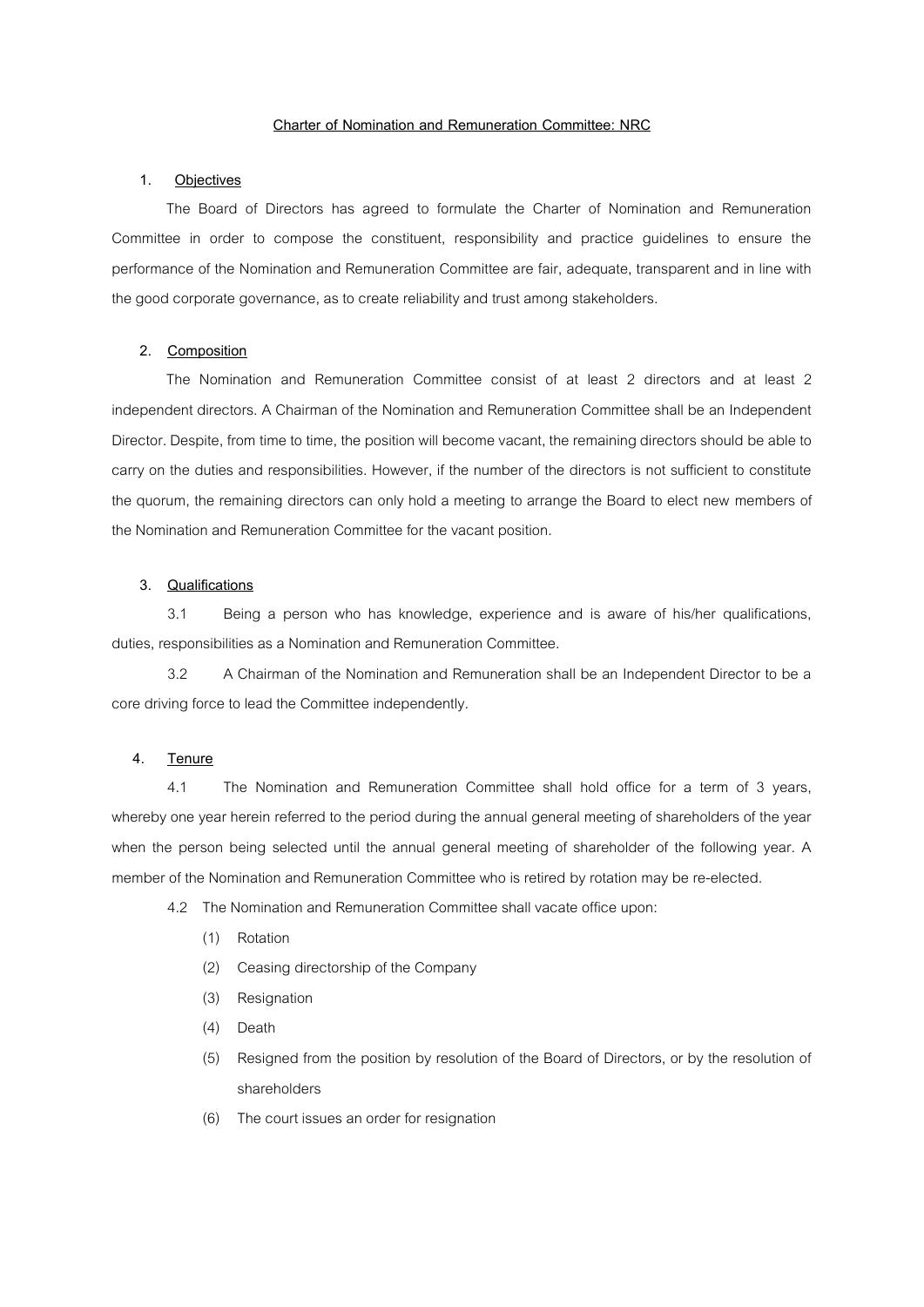### **Charter of Nomination and Remuneration Committee: NRC**

# **1. Objectives**

The Board of Directors has agreed to formulate the Charter of Nomination and Remuneration Committee in order to compose the constituent, responsibility and practice guidelines to ensure the performance of the Nomination and Remuneration Committee are fair, adequate, transparent and in line with the good corporate governance, as to create reliability and trust among stakeholders.

## **2. Composition**

The Nomination and Remuneration Committee consist of at least 2 directors and at least 2 independent directors. A Chairman of the Nomination and Remuneration Committee shall be an Independent Director. Despite, from time to time, the position will become vacant, the remaining directors should be able to carry on the duties and responsibilities. However, if the number of the directors is not sufficient to constitute the quorum, the remaining directors can only hold a meeting to arrange the Board to elect new members of the Nomination and Remuneration Committee for the vacant position.

# **3. Qualifications**

3.1 Being a person who has knowledge, experience and is aware of his/her qualifications, duties, responsibilities as a Nomination and Remuneration Committee.

3.2 A Chairman of the Nomination and Remuneration shall be an Independent Director to be a core driving force to lead the Committee independently.

# **4. Tenure**

4.1 The Nomination and Remuneration Committee shall hold office for a term of 3 years, whereby one year herein referred to the period during the annual general meeting of shareholders of the year when the person being selected until the annual general meeting of shareholder of the following year. A member of the Nomination and Remuneration Committee who is retired by rotation may be re-elected.

- 4.2 The Nomination and Remuneration Committee shall vacate office upon:
	- (1) Rotation
	- (2) Ceasing directorship of the Company
	- (3) Resignation
	- (4) Death
	- (5) Resigned from the position by resolution of the Board of Directors, or by the resolution of shareholders
	- (6) The court issues an order for resignation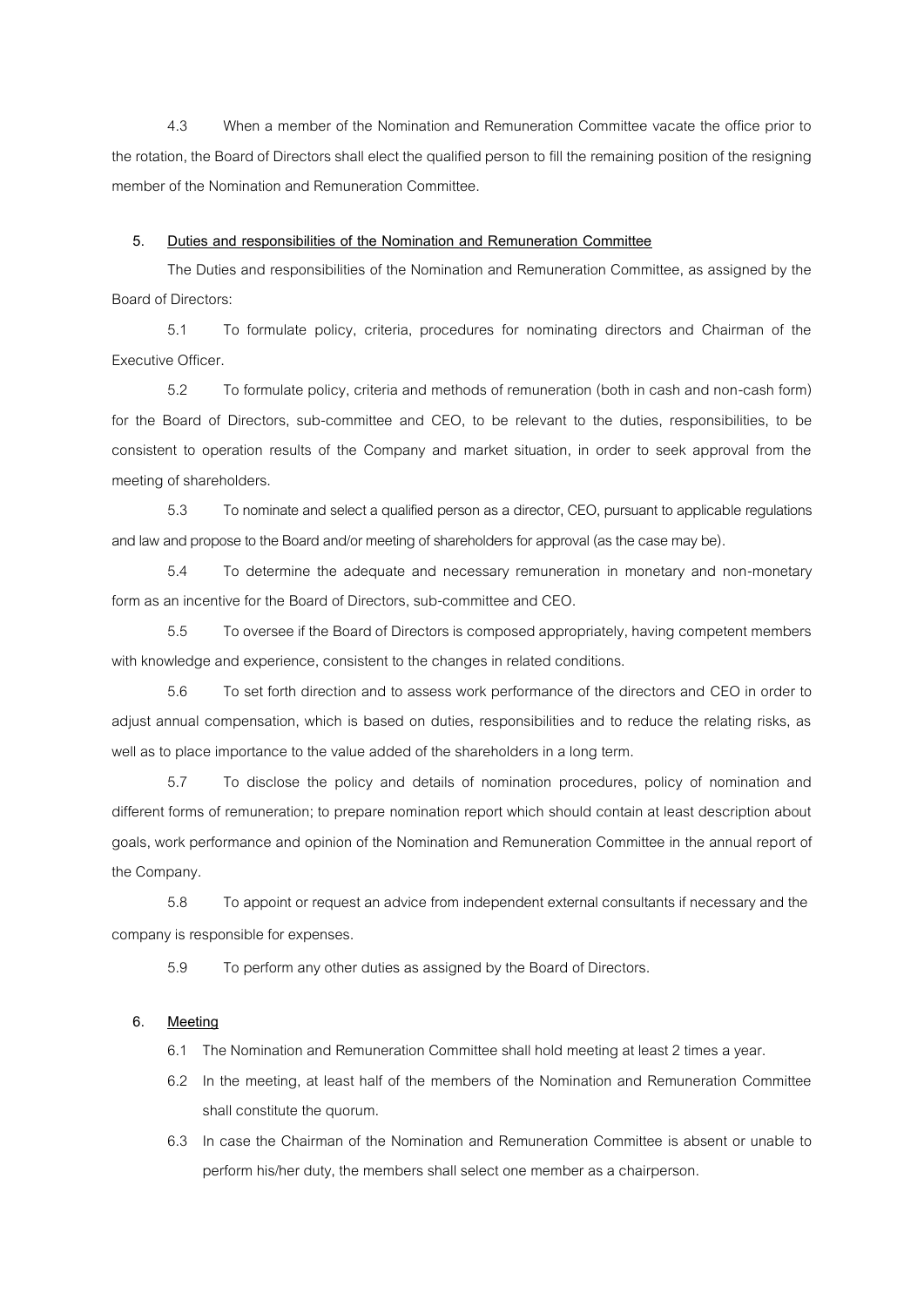4.3 When a member of the Nomination and Remuneration Committee vacate the office prior to the rotation, the Board of Directors shall elect the qualified person to fill the remaining position of the resigning member of the Nomination and Remuneration Committee.

#### **5. Duties and responsibilities of the Nomination and Remuneration Committee**

The Duties and responsibilities of the Nomination and Remuneration Committee, as assigned by the Board of Directors:

5.1 To formulate policy, criteria, procedures for nominating directors and Chairman of the Executive Officer.

5.2 To formulate policy, criteria and methods of remuneration (both in cash and non-cash form) for the Board of Directors, sub-committee and CEO, to be relevant to the duties, responsibilities, to be consistent to operation results of the Company and market situation, in order to seek approval from the meeting of shareholders.

5.3 To nominate and select a qualified person as a director, CEO, pursuant to applicable regulations and law and propose to the Board and/or meeting of shareholders for approval (as the case may be).

5.4 To determine the adequate and necessary remuneration in monetary and non-monetary form as an incentive for the Board of Directors, sub-committee and CEO.

5.5 To oversee if the Board of Directors is composed appropriately, having competent members with knowledge and experience, consistent to the changes in related conditions.

5.6 To set forth direction and to assess work performance of the directors and CEO in order to adjust annual compensation, which is based on duties, responsibilities and to reduce the relating risks, as well as to place importance to the value added of the shareholders in a long term.

5.7 To disclose the policy and details of nomination procedures, policy of nomination and different forms of remuneration; to prepare nomination report which should contain at least description about goals, work performance and opinion of the Nomination and Remuneration Committee in the annual report of the Company.

5.8 To appoint or request an advice from independent external consultants if necessary and the company is responsible for expenses.

5.9 To perform any other duties as assigned by the Board of Directors.

### **6. Meeting**

6.1 The Nomination and Remuneration Committee shall hold meeting at least 2 times a year.

- 6.2 In the meeting, at least half of the members of the Nomination and Remuneration Committee shall constitute the quorum.
- 6.3 In case the Chairman of the Nomination and Remuneration Committee is absent or unable to perform his/her duty, the members shall select one member as a chairperson.